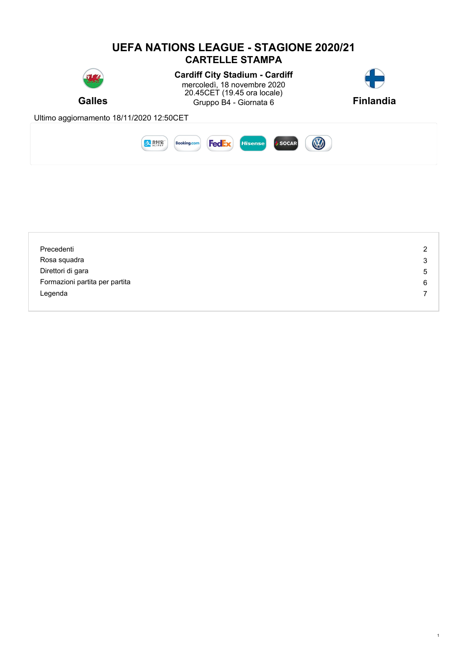

| Precedenti                     | 2 |
|--------------------------------|---|
|                                |   |
| Rosa squadra                   | 3 |
| Direttori di gara              | 5 |
| Formazioni partita per partita | 6 |
| Legenda                        |   |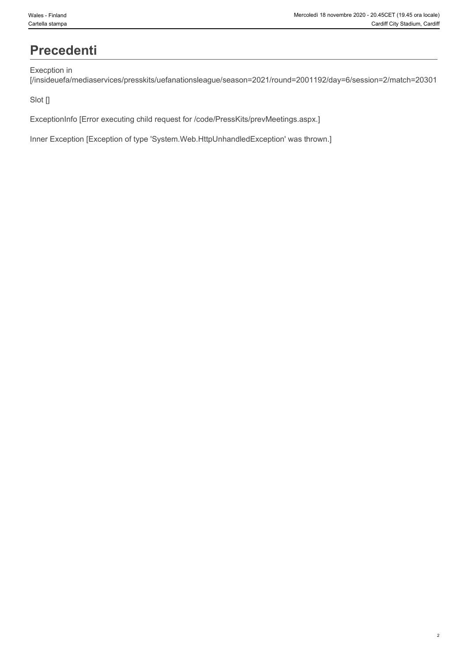### **Precedenti**

#### Execption in

[/insideuefa/mediaservices/presskits/uefanationsleague/season=2021/round=2001192/day=6/session=2/match=20301

#### Slot []

ExceptionInfo [Error executing child request for /code/PressKits/prevMeetings.aspx.]

Inner Exception [Exception of type 'System.Web.HttpUnhandledException' was thrown.]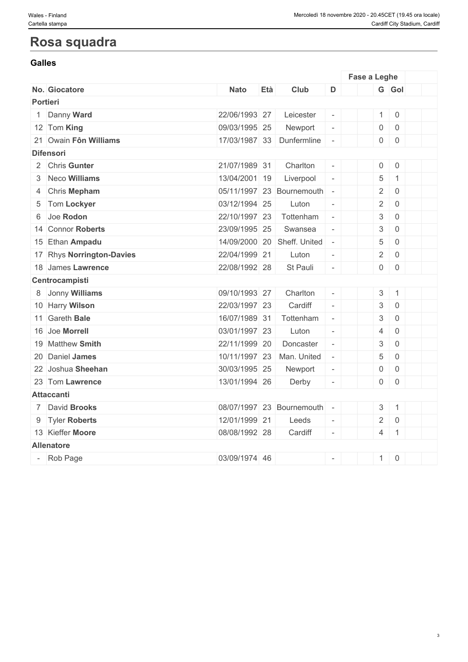### **Rosa squadra**

#### **Galles Galles**

|                           |                           |     |                             |                          | Fase a Leghe   |                     |  |
|---------------------------|---------------------------|-----|-----------------------------|--------------------------|----------------|---------------------|--|
| No. Giocatore             | <b>Nato</b>               | Età | Club                        | D                        |                | G Gol               |  |
| Portieri                  |                           |     |                             |                          |                |                     |  |
| 1 Danny Ward              | 22/06/1993 27             |     | Leicester                   | $\overline{\phantom{a}}$ | $1 \mid 0$     |                     |  |
| 12 Tom King               | 09/03/1995 25             |     | Newport                     | $\overline{\phantom{a}}$ | 0              | $\overline{0}$      |  |
| 21 Owain Fôn Williams     | 17/03/1987 33 Dunfermline |     |                             | $\overline{\phantom{a}}$ | $0 \quad 0$    |                     |  |
| <b>Difensori</b>          |                           |     |                             |                          |                |                     |  |
| 2 Chris Gunter            | 21/07/1989 31             |     | Charlton                    | $\overline{\phantom{a}}$ | $0 \mid 0$     |                     |  |
| 3 Neco Williams           | 13/04/2001 19             |     | Liverpool                   | $\overline{\phantom{a}}$ | $\overline{5}$ | $\mathbf{1}$        |  |
| 4 Chris Mepham            |                           |     | 05/11/1997 23 Bournemouth   | $\overline{\phantom{a}}$ | $\overline{2}$ | $\overline{0}$      |  |
| 5 Tom Lockyer             | 03/12/1994 25             |     | Luton                       | $\Box$                   | $2 \mid$       | $\overline{0}$      |  |
| 6 Joe Rodon               | 22/10/1997 23             |     | Tottenham                   | $\overline{\phantom{a}}$ | $\mathbf{3}$   | $\mathsf 0$         |  |
| 14 Connor Roberts         | 23/09/1995 25             |     | Swansea                     | $\overline{\phantom{a}}$ | 3 <sup>1</sup> | $\mathsf{O}$        |  |
| 15 Ethan Ampadu           |                           |     | 14/09/2000 20 Sheff. United | $\overline{\phantom{a}}$ | 5              | $\mathsf{O}\xspace$ |  |
| 17 Rhys Norrington-Davies | 22/04/1999 21             |     | Luton                       | $\Box$                   | $\overline{2}$ | $\mathbf 0$         |  |
| 18 James Lawrence         | 22/08/1992 28             |     | St Pauli                    | $\Box$                   | $0 \quad 0$    |                     |  |
| Centrocampisti            |                           |     |                             |                          |                |                     |  |
| 8 Jonny Williams          | 09/10/1993 27             |     | Charlton                    | $\equiv$                 | $3 \mid 1$     |                     |  |
| 10 Harry Wilson           | 22/03/1997 23             |     | Cardiff                     | $\overline{\phantom{a}}$ | $\mathfrak{S}$ | $\mathbf 0$         |  |
| 11 Gareth Bale            | 16/07/1989 31             |     | Tottenham                   | $\overline{\phantom{a}}$ | $\mathbf{3}$   | $\overline{0}$      |  |
| 16 Joe Morrell            | 03/01/1997 23             |     | Luton                       | $\equiv$                 | $\overline{4}$ | $\mathbf 0$         |  |
| 19 Matthew Smith          | 22/11/1999 20             |     | Doncaster                   | $\overline{\phantom{a}}$ | 3              | $\mathbf 0$         |  |
| 20 Daniel James           | 10/11/1997 23             |     | Man. United                 | $\overline{\phantom{a}}$ | 5              | $\mathsf 0$         |  |
| 22 Joshua Sheehan         | 30/03/1995 25             |     | Newport                     | $\overline{\phantom{a}}$ | $\overline{0}$ | $\mathsf 0$         |  |
| 23 Tom Lawrence           | 13/01/1994 26             |     | Derby                       | $\overline{\phantom{a}}$ | $0 \mid 0$     |                     |  |
| <b>Attaccanti</b>         |                           |     |                             |                          |                |                     |  |
| 7 David Brooks            |                           |     | 08/07/1997 23 Bournemouth   | $\overline{\phantom{a}}$ | $3 \mid 1$     |                     |  |
| 9 Tyler Roberts           | 12/01/1999 21             |     | Leeds                       | $\blacksquare$           | $\overline{2}$ | $\mathbf 0$         |  |
| 13 Kieffer Moore          | 08/08/1992 28             |     | Cardiff                     | $\equiv$                 | $4 \mid 1$     |                     |  |
| <b>Allenatore</b>         |                           |     |                             |                          |                |                     |  |
| - Rob Page                | 03/09/1974 46             |     |                             | $\sim$                   | $1 \ 0$        |                     |  |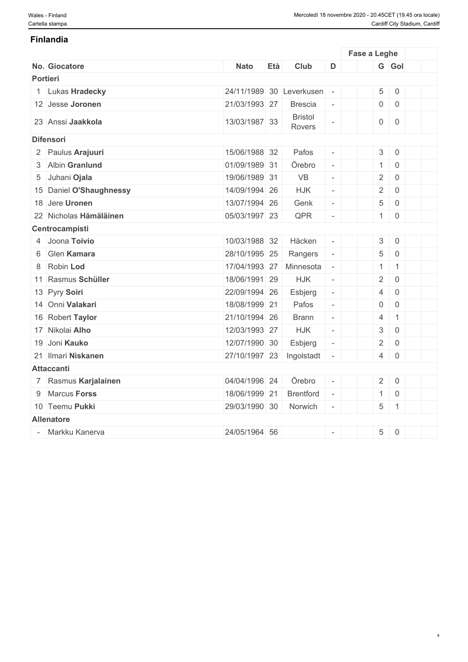#### **Finlandia**

| <b>Nato</b>                                                                                                                                                                                                                                                                                                                                                                                                                                                                                                                                                                         | Età | Club                                                                                                                                                                                                                                                                                                                                                              | D                           |                            |                 |                     |                                                                                                                                                                                                     |
|-------------------------------------------------------------------------------------------------------------------------------------------------------------------------------------------------------------------------------------------------------------------------------------------------------------------------------------------------------------------------------------------------------------------------------------------------------------------------------------------------------------------------------------------------------------------------------------|-----|-------------------------------------------------------------------------------------------------------------------------------------------------------------------------------------------------------------------------------------------------------------------------------------------------------------------------------------------------------------------|-----------------------------|----------------------------|-----------------|---------------------|-----------------------------------------------------------------------------------------------------------------------------------------------------------------------------------------------------|
|                                                                                                                                                                                                                                                                                                                                                                                                                                                                                                                                                                                     |     |                                                                                                                                                                                                                                                                                                                                                                   |                             |                            |                 |                     |                                                                                                                                                                                                     |
|                                                                                                                                                                                                                                                                                                                                                                                                                                                                                                                                                                                     |     |                                                                                                                                                                                                                                                                                                                                                                   |                             |                            | $5\overline{)}$ |                     |                                                                                                                                                                                                     |
|                                                                                                                                                                                                                                                                                                                                                                                                                                                                                                                                                                                     |     | <b>Brescia</b>                                                                                                                                                                                                                                                                                                                                                    | $\overline{\phantom{a}}$    |                            |                 |                     |                                                                                                                                                                                                     |
|                                                                                                                                                                                                                                                                                                                                                                                                                                                                                                                                                                                     |     | <b>Bristol</b><br>Rovers                                                                                                                                                                                                                                                                                                                                          | $\overline{\phantom{a}}$    |                            | $\overline{0}$  | $\,0\,$             |                                                                                                                                                                                                     |
|                                                                                                                                                                                                                                                                                                                                                                                                                                                                                                                                                                                     |     |                                                                                                                                                                                                                                                                                                                                                                   |                             |                            |                 |                     |                                                                                                                                                                                                     |
|                                                                                                                                                                                                                                                                                                                                                                                                                                                                                                                                                                                     |     | Pafos                                                                                                                                                                                                                                                                                                                                                             | $\mathcal{L}_{\mathcal{A}}$ |                            |                 |                     |                                                                                                                                                                                                     |
|                                                                                                                                                                                                                                                                                                                                                                                                                                                                                                                                                                                     |     | Örebro                                                                                                                                                                                                                                                                                                                                                            | $\mathcal{L}_{\mathcal{A}}$ |                            |                 | $\mathbf 0$         |                                                                                                                                                                                                     |
|                                                                                                                                                                                                                                                                                                                                                                                                                                                                                                                                                                                     |     | <b>VB</b>                                                                                                                                                                                                                                                                                                                                                         | $\overline{\phantom{a}}$    |                            | $\overline{2}$  | $\mathsf{O}\xspace$ |                                                                                                                                                                                                     |
|                                                                                                                                                                                                                                                                                                                                                                                                                                                                                                                                                                                     |     | <b>HJK</b>                                                                                                                                                                                                                                                                                                                                                        | $\overline{\phantom{a}}$    |                            | $\overline{2}$  | $\mathbf 0$         |                                                                                                                                                                                                     |
|                                                                                                                                                                                                                                                                                                                                                                                                                                                                                                                                                                                     |     | Genk                                                                                                                                                                                                                                                                                                                                                              | $\overline{\phantom{a}}$    |                            | 5               | $\mathbf 0$         |                                                                                                                                                                                                     |
|                                                                                                                                                                                                                                                                                                                                                                                                                                                                                                                                                                                     |     | QPR                                                                                                                                                                                                                                                                                                                                                               | $\overline{\phantom{a}}$    |                            |                 | $\mathsf 0$         |                                                                                                                                                                                                     |
|                                                                                                                                                                                                                                                                                                                                                                                                                                                                                                                                                                                     |     |                                                                                                                                                                                                                                                                                                                                                                   |                             |                            |                 |                     |                                                                                                                                                                                                     |
|                                                                                                                                                                                                                                                                                                                                                                                                                                                                                                                                                                                     |     | Häcken                                                                                                                                                                                                                                                                                                                                                            | $\overline{\phantom{a}}$    |                            | $\mathfrak{S}$  | $\mathbf 0$         |                                                                                                                                                                                                     |
|                                                                                                                                                                                                                                                                                                                                                                                                                                                                                                                                                                                     |     | Rangers                                                                                                                                                                                                                                                                                                                                                           | $\overline{\phantom{a}}$    |                            | 5               | $\overline{0}$      |                                                                                                                                                                                                     |
|                                                                                                                                                                                                                                                                                                                                                                                                                                                                                                                                                                                     |     | Minnesota                                                                                                                                                                                                                                                                                                                                                         | $\sim$                      |                            | $\mathbf{1}$    | $\mathbf{1}$        |                                                                                                                                                                                                     |
|                                                                                                                                                                                                                                                                                                                                                                                                                                                                                                                                                                                     |     | <b>HJK</b>                                                                                                                                                                                                                                                                                                                                                        | $\overline{\phantom{a}}$    |                            | $\overline{2}$  | $\mathbf 0$         |                                                                                                                                                                                                     |
|                                                                                                                                                                                                                                                                                                                                                                                                                                                                                                                                                                                     |     | Esbjerg                                                                                                                                                                                                                                                                                                                                                           | $\overline{\phantom{a}}$    |                            | $\overline{4}$  | $\mathsf 0$         |                                                                                                                                                                                                     |
|                                                                                                                                                                                                                                                                                                                                                                                                                                                                                                                                                                                     |     | Pafos                                                                                                                                                                                                                                                                                                                                                             | $\Box$                      |                            | $\overline{0}$  | $\overline{0}$      |                                                                                                                                                                                                     |
|                                                                                                                                                                                                                                                                                                                                                                                                                                                                                                                                                                                     |     | <b>Brann</b>                                                                                                                                                                                                                                                                                                                                                      | $\overline{\phantom{a}}$    |                            | $\overline{4}$  | $\mathbf{1}$        |                                                                                                                                                                                                     |
|                                                                                                                                                                                                                                                                                                                                                                                                                                                                                                                                                                                     |     | <b>HJK</b>                                                                                                                                                                                                                                                                                                                                                        | $\overline{\phantom{a}}$    |                            | $\mathfrak{S}$  | $\mathsf{O}\xspace$ |                                                                                                                                                                                                     |
|                                                                                                                                                                                                                                                                                                                                                                                                                                                                                                                                                                                     |     | Esbjerg                                                                                                                                                                                                                                                                                                                                                           | $\overline{\phantom{a}}$    |                            | $\overline{2}$  | $\mathbf 0$         |                                                                                                                                                                                                     |
|                                                                                                                                                                                                                                                                                                                                                                                                                                                                                                                                                                                     |     | Ingolstadt                                                                                                                                                                                                                                                                                                                                                        | $\overline{\phantom{a}}$    |                            |                 | $\overline{0}$      |                                                                                                                                                                                                     |
|                                                                                                                                                                                                                                                                                                                                                                                                                                                                                                                                                                                     |     |                                                                                                                                                                                                                                                                                                                                                                   |                             |                            |                 |                     |                                                                                                                                                                                                     |
|                                                                                                                                                                                                                                                                                                                                                                                                                                                                                                                                                                                     |     | Örebro                                                                                                                                                                                                                                                                                                                                                            | $\overline{\phantom{a}}$    |                            |                 |                     |                                                                                                                                                                                                     |
|                                                                                                                                                                                                                                                                                                                                                                                                                                                                                                                                                                                     |     | <b>Brentford</b>                                                                                                                                                                                                                                                                                                                                                  | $\sim$                      |                            |                 | $\overline{0}$      |                                                                                                                                                                                                     |
|                                                                                                                                                                                                                                                                                                                                                                                                                                                                                                                                                                                     |     | Norwich                                                                                                                                                                                                                                                                                                                                                           | $\sim$                      |                            | $5\phantom{.0}$ |                     |                                                                                                                                                                                                     |
|                                                                                                                                                                                                                                                                                                                                                                                                                                                                                                                                                                                     |     |                                                                                                                                                                                                                                                                                                                                                                   |                             |                            |                 |                     |                                                                                                                                                                                                     |
|                                                                                                                                                                                                                                                                                                                                                                                                                                                                                                                                                                                     |     |                                                                                                                                                                                                                                                                                                                                                                   | $\overline{\phantom{a}}$    |                            | $\sqrt{5}$      |                     |                                                                                                                                                                                                     |
| No. Giocatore<br>Portieri<br>1 Lukas Hradecky<br>12 Jesse Joronen<br>23 Anssi Jaakkola<br><b>Difensori</b><br>2 Paulus Arajuuri<br>3 Albin Granlund<br>5 Juhani Ojala<br>15 Daniel O'Shaughnessy<br>18 Jere Uronen<br>22 Nicholas Hämäläinen<br>Centrocampisti<br>4 Joona Toivio<br>6 Glen Kamara<br>8 Robin Lod<br>11 Rasmus Schüller<br>13 Pyry Soiri<br>14 Onni Valakari<br>16 Robert Taylor<br>17 Nikolai Alho<br>19 Joni Kauko<br>21 Ilmari Niskanen<br><b>Attaccanti</b><br>7 Rasmus Karjalainen<br>9 Marcus Forss<br>10 Teemu Pukki<br><b>Allenatore</b><br>- Markku Kanerva |     | 21/03/1993 27<br>13/03/1987 33<br>15/06/1988 32<br>01/09/1989 31<br>19/06/1989 31<br>14/09/1994 26<br>13/07/1994 26<br>05/03/1997 23<br>10/03/1988 32<br>28/10/1995 25<br>17/04/1993 27<br>18/06/1991 29<br>22/09/1994 26<br>18/08/1999 21<br>21/10/1994 26<br>12/03/1993 27<br>12/07/1990 30<br>04/04/1996 24<br>18/06/1999 21<br>29/03/1990 30<br>24/05/1964 56 | 27/10/1997 23               | 24/11/1989 30 Leverkusen - |                 |                     | Fase a Leghe<br>G Gol<br>$\begin{array}{ c c } \hline \hline \hline \hline \hline \end{array}$<br>$0 \mid 0$<br>$3 \mid 0$<br>1<br>1<br>4<br>$2 \mid 0$<br>1<br>$\vert$ 1<br>$\begin{array}{ c c }$ |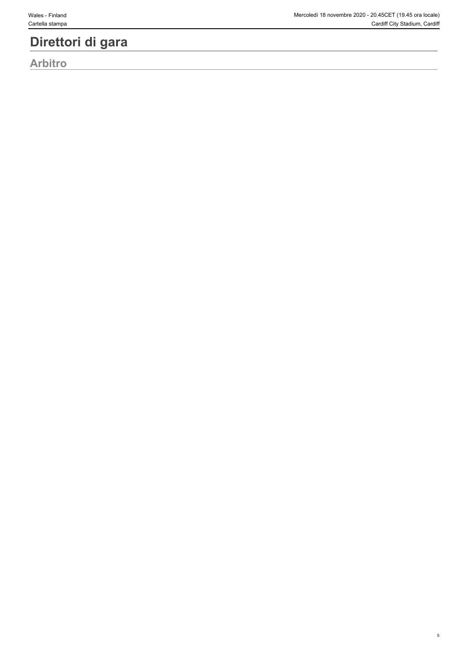### **Direttori di gara**

**Arbitro**

5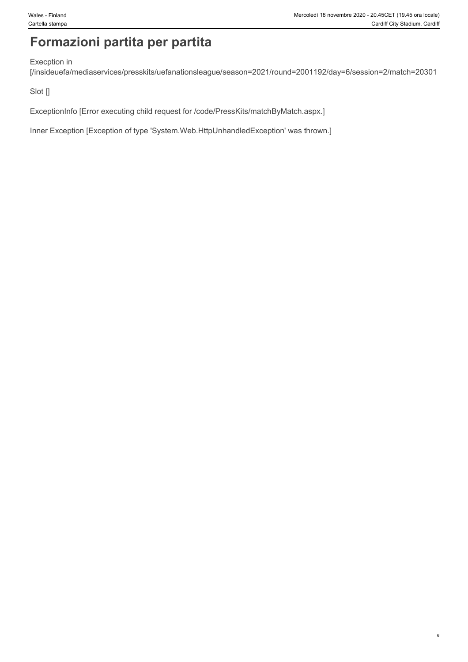## **Formazioni partita per partita**

#### Execption in

[/insideuefa/mediaservices/presskits/uefanationsleague/season=2021/round=2001192/day=6/session=2/match=20301

Slot []

ExceptionInfo [Error executing child request for /code/PressKits/matchByMatch.aspx.]

Inner Exception [Exception of type 'System.Web.HttpUnhandledException' was thrown.]